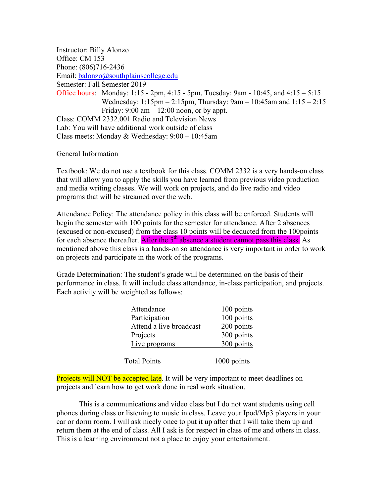Instructor: Billy Alonzo Office: CM 153 Phone: (806)716-2436 Email: balonzo@southplainscollege.edu Semester: Fall Semester 2019 Office hours: Monday: 1:15 - 2pm, 4:15 - 5pm, Tuesday: 9am - 10:45, and 4:15 – 5:15 Wednesday: 1:15pm – 2:15pm, Thursday: 9am – 10:45am and 1:15 – 2:15 Friday:  $9:00 \text{ am} - 12:00 \text{ noon}$ , or by appt. Class: COMM 2332.001 Radio and Television News Lab: You will have additional work outside of class Class meets: Monday & Wednesday: 9:00 – 10:45am

General Information

Textbook: We do not use a textbook for this class. COMM 2332 is a very hands-on class that will allow you to apply the skills you have learned from previous video production and media writing classes. We will work on projects, and do live radio and video programs that will be streamed over the web.

Attendance Policy: The attendance policy in this class will be enforced. Students will begin the semester with 100 points for the semester for attendance. After 2 absences (excused or non-excused) from the class 10 points will be deducted from the 100points for each absence thereafter. After the  $5<sup>th</sup>$  absence a student cannot pass this class. As mentioned above this class is a hands-on so attendance is very important in order to work on projects and participate in the work of the programs.

Grade Determination: The student's grade will be determined on the basis of their performance in class. It will include class attendance, in-class participation, and projects. Each activity will be weighted as follows:

| Attendance              | 100 points  |
|-------------------------|-------------|
| Participation           | 100 points  |
| Attend a live broadcast | 200 points  |
| Projects                | 300 points  |
| Live programs           | 300 points  |
|                         |             |
| <b>Total Points</b>     | 1000 points |

**Projects will NOT be accepted late**. It will be very important to meet deadlines on projects and learn how to get work done in real work situation.

This is a communications and video class but I do not want students using cell phones during class or listening to music in class. Leave your Ipod/Mp3 players in your car or dorm room. I will ask nicely once to put it up after that I will take them up and return them at the end of class. All I ask is for respect in class of me and others in class. This is a learning environment not a place to enjoy your entertainment.